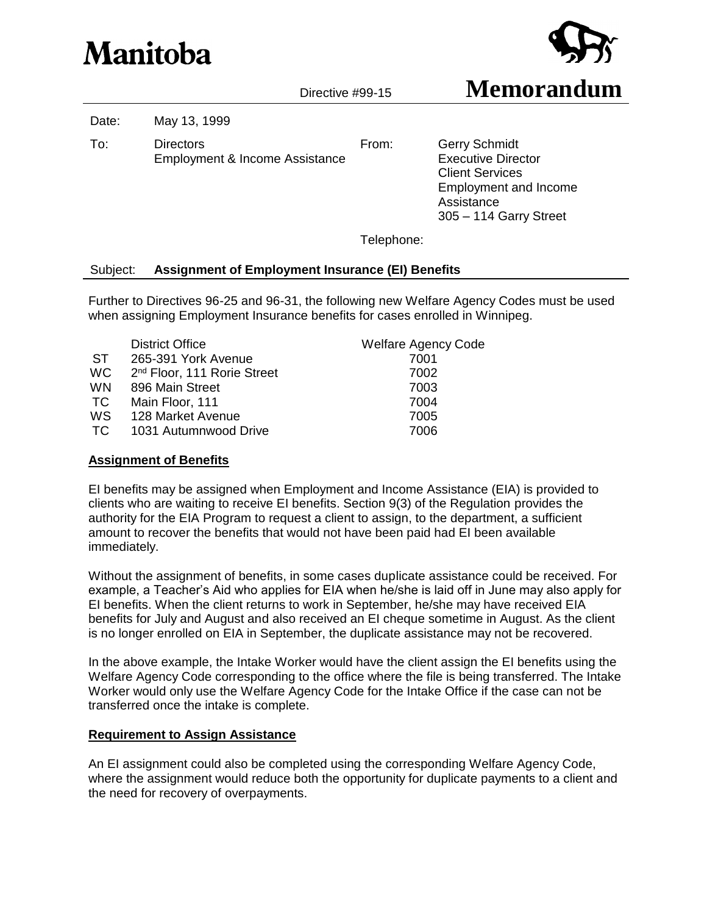# Manitoba



Date: May 13, 1999

To: Directors Employment & Income Assistance

From: Gerry Schmidt Executive Director Client Services Employment and Income Assistance 305 – 114 Garry Street

Telephone:

## Subject: **Assignment of Employment Insurance (EI) Benefits**

Further to Directives 96-25 and 96-31, the following new Welfare Agency Codes must be used when assigning Employment Insurance benefits for cases enrolled in Winnipeg.

|           | <b>District Office</b>                  | <b>Welfare Agency Code</b> |
|-----------|-----------------------------------------|----------------------------|
| <b>ST</b> | 265-391 York Avenue                     | 7001                       |
| <b>WC</b> | 2 <sup>nd</sup> Floor, 111 Rorie Street | 7002                       |
| <b>WN</b> | 896 Main Street                         | 7003                       |
| TC.       | Main Floor, 111                         | 7004                       |
| <b>WS</b> | 128 Market Avenue                       | 7005                       |
| TC.       | 1031 Autumnwood Drive                   | 7006                       |
|           |                                         |                            |

#### **Assignment of Benefits**

EI benefits may be assigned when Employment and Income Assistance (EIA) is provided to clients who are waiting to receive EI benefits. Section 9(3) of the Regulation provides the authority for the EIA Program to request a client to assign, to the department, a sufficient amount to recover the benefits that would not have been paid had EI been available immediately.

Without the assignment of benefits, in some cases duplicate assistance could be received. For example, a Teacher's Aid who applies for EIA when he/she is laid off in June may also apply for EI benefits. When the client returns to work in September, he/she may have received EIA benefits for July and August and also received an EI cheque sometime in August. As the client is no longer enrolled on EIA in September, the duplicate assistance may not be recovered.

In the above example, the Intake Worker would have the client assign the EI benefits using the Welfare Agency Code corresponding to the office where the file is being transferred. The Intake Worker would only use the Welfare Agency Code for the Intake Office if the case can not be transferred once the intake is complete.

#### **Requirement to Assign Assistance**

An EI assignment could also be completed using the corresponding Welfare Agency Code, where the assignment would reduce both the opportunity for duplicate payments to a client and the need for recovery of overpayments.